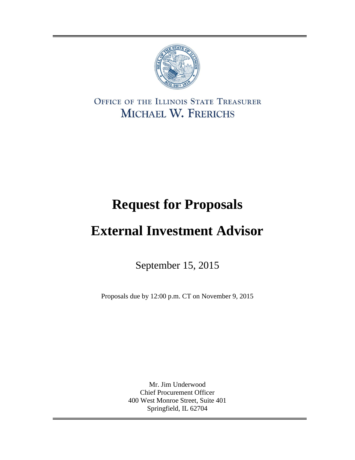

OFFICE OF THE ILLINOIS STATE TREASURER MICHAEL W. FRERICHS

# **Request for Proposals**

# **External Investment Advisor**

September 15, 2015

Proposals due by 12:00 p.m. CT on November 9, 2015

Mr. Jim Underwood Chief Procurement Officer 400 West Monroe Street, Suite 401 Springfield, IL 62704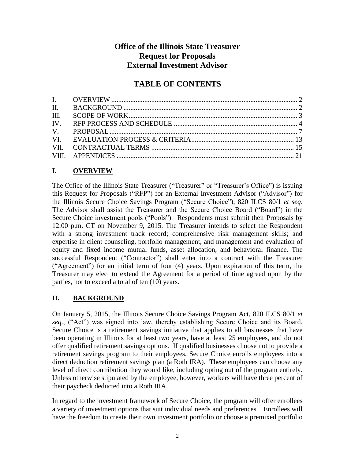# **Office of the Illinois State Treasurer Request for Proposals External Investment Advisor**

# **TABLE OF CONTENTS**

# **I. OVERVIEW**

The Office of the Illinois State Treasurer ("Treasurer" or "Treasurer's Office") is issuing this Request for Proposals ("RFP") for an External Investment Advisor ("Advisor") for the Illinois Secure Choice Savings Program ("Secure Choice"), 820 ILCS 80/1 *et seq*. The Advisor shall assist the Treasurer and the Secure Choice Board ("Board") in the Secure Choice investment pools ("Pools"). Respondents must submit their Proposals by 12:00 p.m. CT on November 9, 2015. The Treasurer intends to select the Respondent with a strong investment track record; comprehensive risk management skills; and expertise in client counseling, portfolio management, and management and evaluation of equity and fixed income mutual funds, asset allocation, and behavioral finance. The successful Respondent ("Contractor") shall enter into a contract with the Treasurer ("Agreement") for an initial term of four (4) years. Upon expiration of this term, the Treasurer may elect to extend the Agreement for a period of time agreed upon by the parties, not to exceed a total of ten (10) years.

# **II. BACKGROUND**

On January 5, 2015, the Illinois Secure Choice Savings Program Act, 820 ILCS 80/1 *et seq*., ("Act") was signed into law, thereby establishing Secure Choice and its Board. Secure Choice is a retirement savings initiative that applies to all businesses that have been operating in Illinois for at least two years, have at least 25 employees, and do not offer qualified retirement savings options. If qualified businesses choose not to provide a retirement savings program to their employees, Secure Choice enrolls employees into a direct deduction retirement savings plan (a Roth IRA). These employees can choose any level of direct contribution they would like, including opting out of the program entirely. Unless otherwise stipulated by the employee, however, workers will have three percent of their paycheck deducted into a Roth IRA.

In regard to the investment framework of Secure Choice, the program will offer enrollees a variety of investment options that suit individual needs and preferences. Enrollees will have the freedom to create their own investment portfolio or choose a premixed portfolio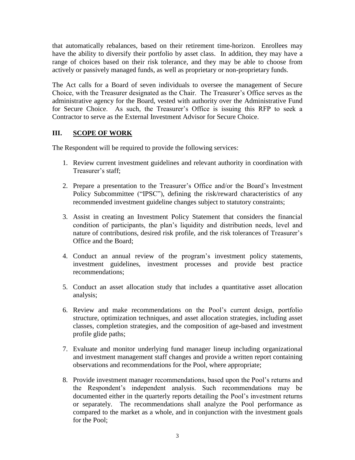that automatically rebalances, based on their retirement time-horizon. Enrollees may have the ability to diversify their portfolio by asset class. In addition, they may have a range of choices based on their risk tolerance, and they may be able to choose from actively or passively managed funds, as well as proprietary or non-proprietary funds.

The Act calls for a Board of seven individuals to oversee the management of Secure Choice, with the Treasurer designated as the Chair. The Treasurer's Office serves as the administrative agency for the Board, vested with authority over the Administrative Fund for Secure Choice. As such, the Treasurer's Office is issuing this RFP to seek a Contractor to serve as the External Investment Advisor for Secure Choice.

# **III. SCOPE OF WORK**

The Respondent will be required to provide the following services:

- 1. Review current investment guidelines and relevant authority in coordination with Treasurer's staff;
- 2. Prepare a presentation to the Treasurer's Office and/or the Board's Investment Policy Subcommittee ("IPSC"), defining the risk/reward characteristics of any recommended investment guideline changes subject to statutory constraints;
- 3. Assist in creating an Investment Policy Statement that considers the financial condition of participants, the plan's liquidity and distribution needs, level and nature of contributions, desired risk profile, and the risk tolerances of Treasurer's Office and the Board;
- 4. Conduct an annual review of the program's investment policy statements, investment guidelines, investment processes and provide best practice recommendations;
- 5. Conduct an asset allocation study that includes a quantitative asset allocation analysis;
- 6. Review and make recommendations on the Pool's current design, portfolio structure, optimization techniques, and asset allocation strategies, including asset classes, completion strategies, and the composition of age-based and investment profile glide paths;
- 7. Evaluate and monitor underlying fund manager lineup including organizational and investment management staff changes and provide a written report containing observations and recommendations for the Pool, where appropriate;
- 8. Provide investment manager recommendations, based upon the Pool's returns and the Respondent's independent analysis. Such recommendations may be documented either in the quarterly reports detailing the Pool's investment returns or separately. The recommendations shall analyze the Pool performance as compared to the market as a whole, and in conjunction with the investment goals for the Pool;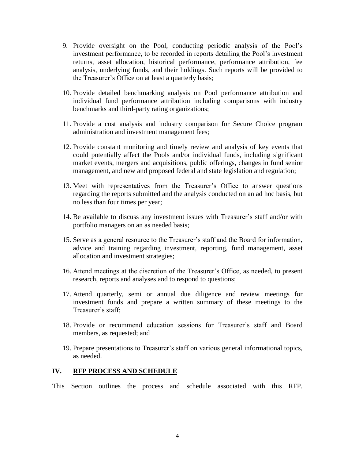- 9. Provide oversight on the Pool, conducting periodic analysis of the Pool's investment performance, to be recorded in reports detailing the Pool's investment returns, asset allocation, historical performance, performance attribution, fee analysis, underlying funds, and their holdings. Such reports will be provided to the Treasurer's Office on at least a quarterly basis;
- 10. Provide detailed benchmarking analysis on Pool performance attribution and individual fund performance attribution including comparisons with industry benchmarks and third-party rating organizations;
- 11. Provide a cost analysis and industry comparison for Secure Choice program administration and investment management fees;
- 12. Provide constant monitoring and timely review and analysis of key events that could potentially affect the Pools and/or individual funds, including significant market events, mergers and acquisitions, public offerings, changes in fund senior management, and new and proposed federal and state legislation and regulation;
- 13. Meet with representatives from the Treasurer's Office to answer questions regarding the reports submitted and the analysis conducted on an ad hoc basis, but no less than four times per year;
- 14. Be available to discuss any investment issues with Treasurer's staff and/or with portfolio managers on an as needed basis;
- 15. Serve as a general resource to the Treasurer's staff and the Board for information, advice and training regarding investment, reporting, fund management, asset allocation and investment strategies;
- 16. Attend meetings at the discretion of the Treasurer's Office, as needed, to present research, reports and analyses and to respond to questions;
- 17. Attend quarterly, semi or annual due diligence and review meetings for investment funds and prepare a written summary of these meetings to the Treasurer's staff;
- 18. Provide or recommend education sessions for Treasurer's staff and Board members, as requested; and
- 19. Prepare presentations to Treasurer's staff on various general informational topics, as needed.

#### **IV. RFP PROCESS AND SCHEDULE**

This Section outlines the process and schedule associated with this RFP.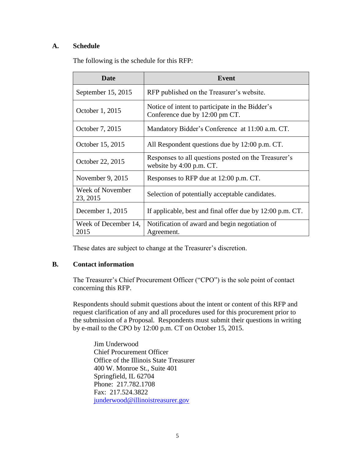## **A. Schedule**

The following is the schedule for this RFP:

| <b>Date</b>                         | Event                                                                             |
|-------------------------------------|-----------------------------------------------------------------------------------|
| September 15, 2015                  | RFP published on the Treasurer's website.                                         |
| October 1, 2015                     | Notice of intent to participate in the Bidder's<br>Conference due by 12:00 pm CT. |
| October 7, 2015                     | Mandatory Bidder's Conference at 11:00 a.m. CT.                                   |
| October 15, 2015                    | All Respondent questions due by 12:00 p.m. CT.                                    |
| October 22, 2015                    | Responses to all questions posted on the Treasurer's<br>website by 4:00 p.m. CT.  |
| November 9, 2015                    | Responses to RFP due at 12:00 p.m. CT.                                            |
| <b>Week of November</b><br>23, 2015 | Selection of potentially acceptable candidates.                                   |
| December 1, 2015                    | If applicable, best and final offer due by 12:00 p.m. CT.                         |
| Week of December 14,<br>2015        | Notification of award and begin negotiation of<br>Agreement.                      |

These dates are subject to change at the Treasurer's discretion.

#### **B. Contact information**

The Treasurer's Chief Procurement Officer ("CPO") is the sole point of contact concerning this RFP.

Respondents should submit questions about the intent or content of this RFP and request clarification of any and all procedures used for this procurement prior to the submission of a Proposal. Respondents must submit their questions in writing by e-mail to the CPO by 12:00 p.m. CT on October 15, 2015.

Jim Underwood Chief Procurement Officer Office of the Illinois State Treasurer 400 W. Monroe St., Suite 401 Springfield, IL 62704 Phone: 217.782.1708 Fax: 217.524.3822 [junderwood@illinoistreasurer.gov](mailto:junderwood@illinoistreasurer.gov)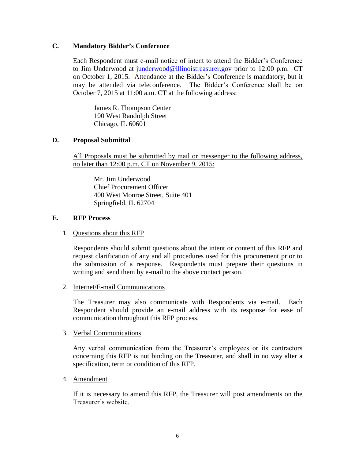#### **C. Mandatory Bidder's Conference**

Each Respondent must e-mail notice of intent to attend the Bidder's Conference to Jim Underwood at [junderwood@illinoistreasurer.gov](mailto:junderwood@illinoistreasurer.gov) prior to 12:00 p.m. CT on October 1, 2015. Attendance at the Bidder's Conference is mandatory, but it may be attended via teleconference. The Bidder's Conference shall be on October 7, 2015 at 11:00 a.m. CT at the following address:

James R. Thompson Center 100 West Randolph Street Chicago, IL 60601

### **D. Proposal Submittal**

All Proposals must be submitted by mail or messenger to the following address, no later than 12:00 p.m. CT on November 9, 2015:

Mr. Jim Underwood Chief Procurement Officer 400 West Monroe Street, Suite 401 Springfield, IL 62704

#### **E. RFP Process**

#### 1. Questions about this RFP

Respondents should submit questions about the intent or content of this RFP and request clarification of any and all procedures used for this procurement prior to the submission of a response. Respondents must prepare their questions in writing and send them by e-mail to the above contact person.

#### 2. Internet/E-mail Communications

The Treasurer may also communicate with Respondents via e-mail. Each Respondent should provide an e-mail address with its response for ease of communication throughout this RFP process.

#### 3. Verbal Communications

Any verbal communication from the Treasurer's employees or its contractors concerning this RFP is not binding on the Treasurer, and shall in no way alter a specification, term or condition of this RFP.

#### 4. Amendment

If it is necessary to amend this RFP, the Treasurer will post amendments on the Treasurer's website.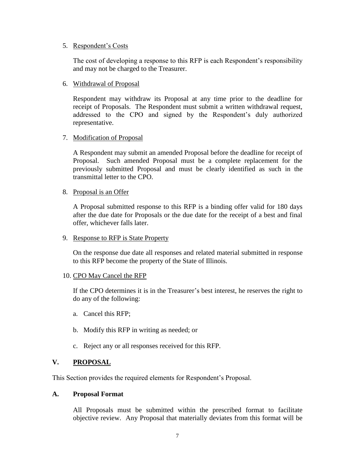#### 5. Respondent's Costs

The cost of developing a response to this RFP is each Respondent's responsibility and may not be charged to the Treasurer.

#### 6. Withdrawal of Proposal

Respondent may withdraw its Proposal at any time prior to the deadline for receipt of Proposals. The Respondent must submit a written withdrawal request, addressed to the CPO and signed by the Respondent's duly authorized representative.

#### 7. Modification of Proposal

A Respondent may submit an amended Proposal before the deadline for receipt of Proposal. Such amended Proposal must be a complete replacement for the previously submitted Proposal and must be clearly identified as such in the transmittal letter to the CPO.

#### 8. Proposal is an Offer

A Proposal submitted response to this RFP is a binding offer valid for 180 days after the due date for Proposals or the due date for the receipt of a best and final offer, whichever falls later.

#### 9. Response to RFP is State Property

On the response due date all responses and related material submitted in response to this RFP become the property of the State of Illinois.

#### 10. CPO May Cancel the RFP

If the CPO determines it is in the Treasurer's best interest, he reserves the right to do any of the following:

- a. Cancel this RFP;
- b. Modify this RFP in writing as needed; or
- c. Reject any or all responses received for this RFP.

#### **V. PROPOSAL**

This Section provides the required elements for Respondent's Proposal.

#### **A. Proposal Format**

All Proposals must be submitted within the prescribed format to facilitate objective review. Any Proposal that materially deviates from this format will be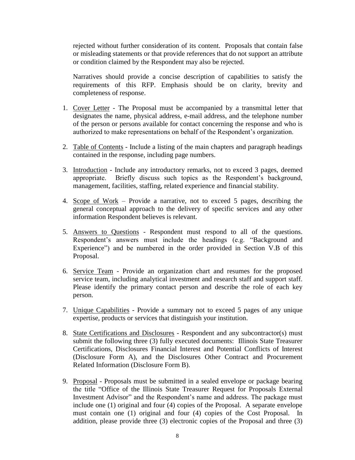rejected without further consideration of its content. Proposals that contain false or misleading statements or that provide references that do not support an attribute or condition claimed by the Respondent may also be rejected.

Narratives should provide a concise description of capabilities to satisfy the requirements of this RFP. Emphasis should be on clarity, brevity and completeness of response.

- 1. Cover Letter The Proposal must be accompanied by a transmittal letter that designates the name, physical address, e-mail address, and the telephone number of the person or persons available for contact concerning the response and who is authorized to make representations on behalf of the Respondent's organization.
- 2. Table of Contents Include a listing of the main chapters and paragraph headings contained in the response, including page numbers.
- 3. Introduction Include any introductory remarks, not to exceed 3 pages, deemed appropriate. Briefly discuss such topics as the Respondent's background, management, facilities, staffing, related experience and financial stability.
- 4. Scope of Work Provide a narrative, not to exceed 5 pages, describing the general conceptual approach to the delivery of specific services and any other information Respondent believes is relevant.
- 5. Answers to Questions Respondent must respond to all of the questions. Respondent's answers must include the headings (e.g. "Background and Experience") and be numbered in the order provided in Section V.B of this Proposal.
- 6. Service Team Provide an organization chart and resumes for the proposed service team, including analytical investment and research staff and support staff. Please identify the primary contact person and describe the role of each key person.
- 7. Unique Capabilities Provide a summary not to exceed 5 pages of any unique expertise, products or services that distinguish your institution.
- 8. State Certifications and Disclosures Respondent and any subcontractor(s) must submit the following three (3) fully executed documents: Illinois State Treasurer Certifications, Disclosures Financial Interest and Potential Conflicts of Interest (Disclosure Form A), and the Disclosures Other Contract and Procurement Related Information (Disclosure Form B).
- 9. Proposal Proposals must be submitted in a sealed envelope or package bearing the title "Office of the Illinois State Treasurer Request for Proposals External Investment Advisor" and the Respondent's name and address. The package must include one (1) original and four (4) copies of the Proposal. A separate envelope must contain one (1) original and four (4) copies of the Cost Proposal. In addition, please provide three (3) electronic copies of the Proposal and three (3)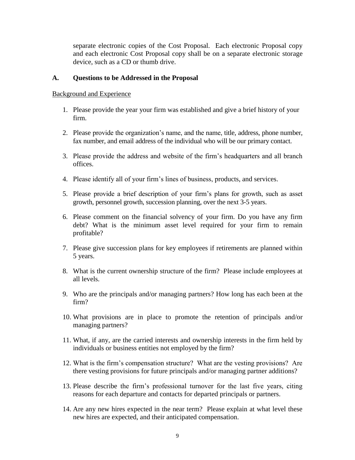separate electronic copies of the Cost Proposal. Each electronic Proposal copy and each electronic Cost Proposal copy shall be on a separate electronic storage device, such as a CD or thumb drive.

#### **A. Questions to be Addressed in the Proposal**

#### Background and Experience

- 1. Please provide the year your firm was established and give a brief history of your firm.
- 2. Please provide the organization's name, and the name, title, address, phone number, fax number, and email address of the individual who will be our primary contact.
- 3. Please provide the address and website of the firm's headquarters and all branch offices.
- 4. Please identify all of your firm's lines of business, products, and services.
- 5. Please provide a brief description of your firm's plans for growth, such as asset growth, personnel growth, succession planning, over the next 3-5 years.
- 6. Please comment on the financial solvency of your firm. Do you have any firm debt? What is the minimum asset level required for your firm to remain profitable?
- 7. Please give succession plans for key employees if retirements are planned within 5 years.
- 8. What is the current ownership structure of the firm? Please include employees at all levels.
- 9. Who are the principals and/or managing partners? How long has each been at the firm?
- 10. What provisions are in place to promote the retention of principals and/or managing partners?
- 11. What, if any, are the carried interests and ownership interests in the firm held by individuals or business entities not employed by the firm?
- 12. What is the firm's compensation structure? What are the vesting provisions? Are there vesting provisions for future principals and/or managing partner additions?
- 13. Please describe the firm's professional turnover for the last five years, citing reasons for each departure and contacts for departed principals or partners.
- 14. Are any new hires expected in the near term? Please explain at what level these new hires are expected, and their anticipated compensation.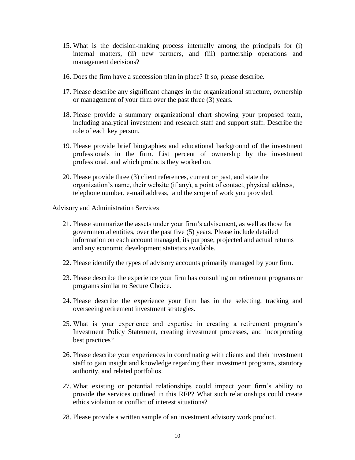- 15. What is the decision-making process internally among the principals for (i) internal matters, (ii) new partners, and (iii) partnership operations and management decisions?
- 16. Does the firm have a succession plan in place? If so, please describe.
- 17. Please describe any significant changes in the organizational structure, ownership or management of your firm over the past three (3) years.
- 18. Please provide a summary organizational chart showing your proposed team, including analytical investment and research staff and support staff. Describe the role of each key person.
- 19. Please provide brief biographies and educational background of the investment professionals in the firm. List percent of ownership by the investment professional, and which products they worked on.
- 20. Please provide three (3) client references, current or past, and state the organization's name, their website (if any), a point of contact, physical address, telephone number, e-mail address, and the scope of work you provided.

#### Advisory and Administration Services

- 21. Please summarize the assets under your firm's advisement, as well as those for governmental entities, over the past five (5) years. Please include detailed information on each account managed, its purpose, projected and actual returns and any economic development statistics available.
- 22. Please identify the types of advisory accounts primarily managed by your firm.
- 23. Please describe the experience your firm has consulting on retirement programs or programs similar to Secure Choice.
- 24. Please describe the experience your firm has in the selecting, tracking and overseeing retirement investment strategies.
- 25. What is your experience and expertise in creating a retirement program's Investment Policy Statement, creating investment processes, and incorporating best practices?
- 26. Please describe your experiences in coordinating with clients and their investment staff to gain insight and knowledge regarding their investment programs, statutory authority, and related portfolios.
- 27. What existing or potential relationships could impact your firm's ability to provide the services outlined in this RFP? What such relationships could create ethics violation or conflict of interest situations?
- 28. Please provide a written sample of an investment advisory work product.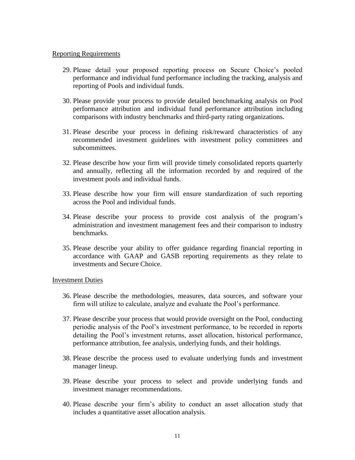#### Reporting Requirements

- 29. Please detail your proposed reporting process on Secure Choice's pooled performance and individual fund performance including the tracking, analysis and reporting of Pools and individual funds.
- 30. Please provide your process to provide detailed benchmarking analysis on Pool performance attribution and individual fund performance attribution including comparisons with industry benchmarks and third-party rating organizations.
- 31. Please describe your process in defining risk/reward characteristics of any recommended investment guidelines with investment policy committees and subcommittees.
- 32. Please describe how your firm will provide timely consolidated reports quarterly and annually, reflecting all the information recorded by and required of the investment pools and individual funds.
- 33. Please describe how your firm will ensure standardization of such reporting across the Pool and individual funds.
- 34. Please describe your process to provide cost analysis of the program's administration and investment management fees and their comparison to industry benchmarks.
- 35. Please describe your ability to offer guidance regarding financial reporting in accordance with GAAP and GASB reporting requirements as they relate to investments and Secure Choice.

#### Investment Duties

- 36. Please describe the methodologies, measures, data sources, and software your firm will utilize to calculate, analyze and evaluate the Pool's performance.
- 37. Please describe your process that would provide oversight on the Pool, conducting periodic analysis of the Pool's investment performance, to be recorded in reports detailing the Pool's investment returns, asset allocation, historical performance, performance attribution, fee analysis, underlying funds, and their holdings.
- 38. Please describe the process used to evaluate underlying funds and investment manager lineup.
- 39. Please describe your process to select and provide underlying funds and investment manager recommendations.
- 40. Please describe your firm's ability to conduct an asset allocation study that includes a quantitative asset allocation analysis.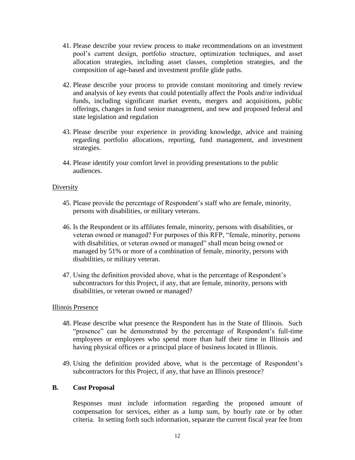- 41. Please describe your review process to make recommendations on an investment pool's current design, portfolio structure, optimization techniques, and asset allocation strategies, including asset classes, completion strategies, and the composition of age-based and investment profile glide paths.
- 42. Please describe your process to provide constant monitoring and timely review and analysis of key events that could potentially affect the Pools and/or individual funds, including significant market events, mergers and acquisitions, public offerings, changes in fund senior management, and new and proposed federal and state legislation and regulation
- 43. Please describe your experience in providing knowledge, advice and training regarding portfolio allocations, reporting, fund management, and investment strategies.
- 44. Please identify your comfort level in providing presentations to the public audiences.

### Diversity

- 45. Please provide the percentage of Respondent's staff who are female, minority, persons with disabilities, or military veterans.
- 46. Is the Respondent or its affiliates female, minority, persons with disabilities, or veteran owned or managed? For purposes of this RFP, "female, minority, persons with disabilities, or veteran owned or managed" shall mean being owned or managed by 51% or more of a combination of female, minority, persons with disabilities, or military veteran.
- 47. Using the definition provided above, what is the percentage of Respondent's subcontractors for this Project, if any, that are female, minority, persons with disabilities, or veteran owned or managed?

#### Illinois Presence

- 48. Please describe what presence the Respondent has in the State of Illinois. Such "presence" can be demonstrated by the percentage of Respondent's full-time employees or employees who spend more than half their time in Illinois and having physical offices or a principal place of business located in Illinois.
- 49. Using the definition provided above, what is the percentage of Respondent's subcontractors for this Project, if any, that have an Illinois presence?

#### **B. Cost Proposal**

Responses must include information regarding the proposed amount of compensation for services, either as a lump sum, by hourly rate or by other criteria. In setting forth such information, separate the current fiscal year fee from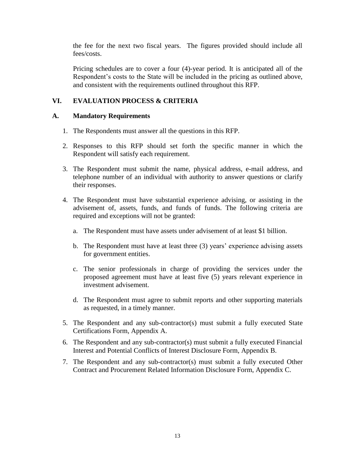the fee for the next two fiscal years. The figures provided should include all fees/costs.

Pricing schedules are to cover a four (4)-year period. It is anticipated all of the Respondent's costs to the State will be included in the pricing as outlined above, and consistent with the requirements outlined throughout this RFP.

# **VI. EVALUATION PROCESS & CRITERIA**

#### **A. Mandatory Requirements**

- 1. The Respondents must answer all the questions in this RFP.
- 2. Responses to this RFP should set forth the specific manner in which the Respondent will satisfy each requirement.
- 3. The Respondent must submit the name, physical address, e-mail address, and telephone number of an individual with authority to answer questions or clarify their responses.
- 4. The Respondent must have substantial experience advising, or assisting in the advisement of, assets, funds, and funds of funds. The following criteria are required and exceptions will not be granted:
	- a. The Respondent must have assets under advisement of at least \$1 billion.
	- b. The Respondent must have at least three (3) years' experience advising assets for government entities.
	- c. The senior professionals in charge of providing the services under the proposed agreement must have at least five (5) years relevant experience in investment advisement.
	- d. The Respondent must agree to submit reports and other supporting materials as requested, in a timely manner.
- 5. The Respondent and any sub-contractor(s) must submit a fully executed State Certifications Form, Appendix A.
- 6. The Respondent and any sub-contractor(s) must submit a fully executed Financial Interest and Potential Conflicts of Interest Disclosure Form, Appendix B.
- 7. The Respondent and any sub-contractor(s) must submit a fully executed Other Contract and Procurement Related Information Disclosure Form, Appendix C.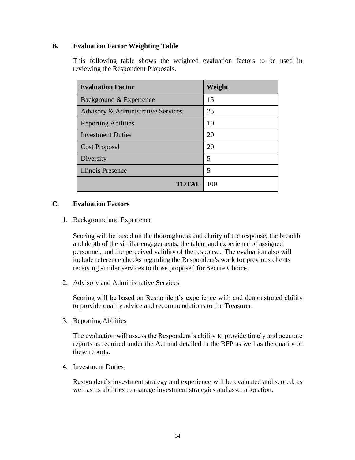## **B. Evaluation Factor Weighting Table**

This following table shows the weighted evaluation factors to be used in reviewing the Respondent Proposals.

| <b>Evaluation Factor</b>           | Weight |
|------------------------------------|--------|
| Background & Experience            | 15     |
| Advisory & Administrative Services | 25     |
| <b>Reporting Abilities</b>         | 10     |
| <b>Investment Duties</b>           | 20     |
| <b>Cost Proposal</b>               | 20     |
| Diversity                          | 5      |
| <b>Illinois Presence</b>           | 5      |
| TOTAL                              | 100    |

#### **C. Evaluation Factors**

#### 1. Background and Experience

Scoring will be based on the thoroughness and clarity of the response, the breadth and depth of the similar engagements, the talent and experience of assigned personnel, and the perceived validity of the response. The evaluation also will include reference checks regarding the Respondent's work for previous clients receiving similar services to those proposed for Secure Choice.

#### 2. Advisory and Administrative Services

Scoring will be based on Respondent's experience with and demonstrated ability to provide quality advice and recommendations to the Treasurer.

#### 3. Reporting Abilities

The evaluation will assess the Respondent's ability to provide timely and accurate reports as required under the Act and detailed in the RFP as well as the quality of these reports.

#### 4. Investment Duties

Respondent's investment strategy and experience will be evaluated and scored, as well as its abilities to manage investment strategies and asset allocation.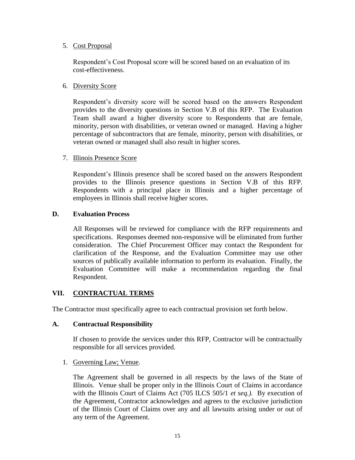#### 5. Cost Proposal

Respondent's Cost Proposal score will be scored based on an evaluation of its cost-effectiveness.

## 6. Diversity Score

Respondent's diversity score will be scored based on the answers Respondent provides to the diversity questions in Section V.B of this RFP. The Evaluation Team shall award a higher diversity score to Respondents that are female, minority, person with disabilities, or veteran owned or managed. Having a higher percentage of subcontractors that are female, minority, person with disabilities, or veteran owned or managed shall also result in higher scores.

### 7. Illinois Presence Score

Respondent's Illinois presence shall be scored based on the answers Respondent provides to the Illinois presence questions in Section V.B of this RFP. Respondents with a principal place in Illinois and a higher percentage of employees in Illinois shall receive higher scores.

### **D. Evaluation Process**

All Responses will be reviewed for compliance with the RFP requirements and specifications. Responses deemed non-responsive will be eliminated from further consideration. The Chief Procurement Officer may contact the Respondent for clarification of the Response, and the Evaluation Committee may use other sources of publically available information to perform its evaluation. Finally, the Evaluation Committee will make a recommendation regarding the final Respondent.

## **VII. CONTRACTUAL TERMS**

The Contractor must specifically agree to each contractual provision set forth below.

#### **A. Contractual Responsibility**

If chosen to provide the services under this RFP, Contractor will be contractually responsible for all services provided.

#### 1. Governing Law; Venue.

The Agreement shall be governed in all respects by the laws of the State of Illinois. Venue shall be proper only in the Illinois Court of Claims in accordance with the Illinois Court of Claims Act (705 ILCS 505/1 *et seq.).* By execution of the Agreement, Contractor acknowledges and agrees to the exclusive jurisdiction of the Illinois Court of Claims over any and all lawsuits arising under or out of any term of the Agreement.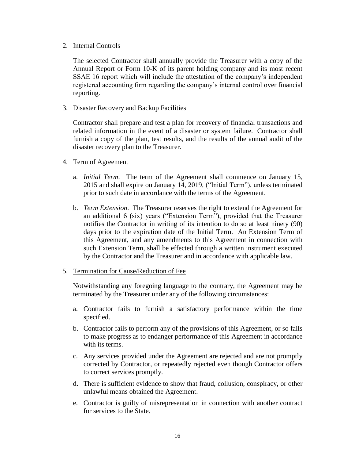#### 2. Internal Controls

The selected Contractor shall annually provide the Treasurer with a copy of the Annual Report or Form 10-K of its parent holding company and its most recent SSAE 16 report which will include the attestation of the company's independent registered accounting firm regarding the company's internal control over financial reporting.

#### 3. Disaster Recovery and Backup Facilities

Contractor shall prepare and test a plan for recovery of financial transactions and related information in the event of a disaster or system failure. Contractor shall furnish a copy of the plan, test results, and the results of the annual audit of the disaster recovery plan to the Treasurer.

#### 4. Term of Agreement

- a. *Initial Term*. The term of the Agreement shall commence on January 15, 2015 and shall expire on January 14, 2019, ("Initial Term"), unless terminated prior to such date in accordance with the terms of the Agreement.
- b. *Term Extension*. The Treasurer reserves the right to extend the Agreement for an additional 6 (six) years ("Extension Term"), provided that the Treasurer notifies the Contractor in writing of its intention to do so at least ninety (90) days prior to the expiration date of the Initial Term. An Extension Term of this Agreement, and any amendments to this Agreement in connection with such Extension Term, shall be effected through a written instrument executed by the Contractor and the Treasurer and in accordance with applicable law.

#### 5. Termination for Cause/Reduction of Fee

Notwithstanding any foregoing language to the contrary, the Agreement may be terminated by the Treasurer under any of the following circumstances:

- a. Contractor fails to furnish a satisfactory performance within the time specified.
- b. Contractor fails to perform any of the provisions of this Agreement, or so fails to make progress as to endanger performance of this Agreement in accordance with its terms.
- c. Any services provided under the Agreement are rejected and are not promptly corrected by Contractor, or repeatedly rejected even though Contractor offers to correct services promptly.
- d. There is sufficient evidence to show that fraud, collusion, conspiracy, or other unlawful means obtained the Agreement.
- e. Contractor is guilty of misrepresentation in connection with another contract for services to the State.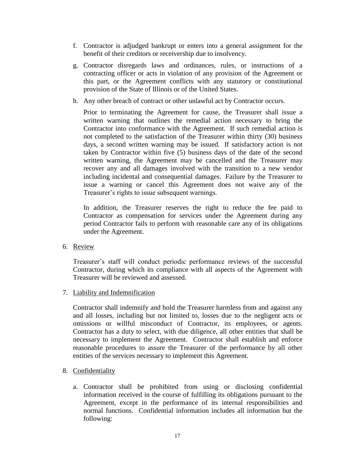- f. Contractor is adjudged bankrupt or enters into a general assignment for the benefit of their creditors or receivership due to insolvency.
- g. Contractor disregards laws and ordinances, rules, or instructions of a contracting officer or acts in violation of any provision of the Agreement or this part, or the Agreement conflicts with any statutory or constitutional provision of the State of Illinois or of the United States.
- h. Any other breach of contract or other unlawful act by Contractor occurs.

Prior to terminating the Agreement for cause, the Treasurer shall issue a written warning that outlines the remedial action necessary to bring the Contractor into conformance with the Agreement. If such remedial action is not completed to the satisfaction of the Treasurer within thirty (30) business days, a second written warning may be issued. If satisfactory action is not taken by Contractor within five (5) business days of the date of the second written warning, the Agreement may be cancelled and the Treasurer may recover any and all damages involved with the transition to a new vendor including incidental and consequential damages. Failure by the Treasurer to issue a warning or cancel this Agreement does not waive any of the Treasurer's rights to issue subsequent warnings.

In addition, the Treasurer reserves the right to reduce the fee paid to Contractor as compensation for services under the Agreement during any period Contractor fails to perform with reasonable care any of its obligations under the Agreement.

6. Review

Treasurer's staff will conduct periodic performance reviews of the successful Contractor, during which its compliance with all aspects of the Agreement with Treasurer will be reviewed and assessed.

#### 7. Liability and Indemnification

Contractor shall indemnify and hold the Treasurer harmless from and against any and all losses, including but not limited to, losses due to the negligent acts or omissions or willful misconduct of Contractor, its employees, or agents. Contractor has a duty to select, with due diligence, all other entities that shall be necessary to implement the Agreement. Contractor shall establish and enforce reasonable procedures to assure the Treasurer of the performance by all other entities of the services necessary to implement this Agreement.

- 8. Confidentiality
	- a. Contractor shall be prohibited from using or disclosing confidential information received in the course of fulfilling its obligations pursuant to the Agreement, except in the performance of its internal responsibilities and normal functions. Confidential information includes all information but the following: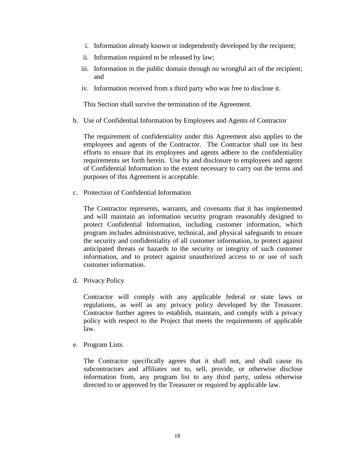- i. Information already known or independently developed by the recipient;
- ii. Information required to be released by law;
- iii. Information in the public domain through no wrongful act of the recipient; and
- iv. Information received from a third party who was free to disclose it.

This Section shall survive the termination of the Agreement.

b. Use of Confidential Information by Employees and Agents of Contractor

The requirement of confidentiality under this Agreement also applies to the employees and agents of the Contractor. The Contractor shall use its best efforts to ensure that its employees and agents adhere to the confidentiality requirements set forth herein. Use by and disclosure to employees and agents of Confidential Information to the extent necessary to carry out the terms and purposes of this Agreement is acceptable.

c. Protection of Confidential Information

The Contractor represents, warrants, and covenants that it has implemented and will maintain an information security program reasonably designed to protect Confidential Information, including customer information, which program includes administrative, technical, and physical safeguards to ensure the security and confidentiality of all customer information, to protect against anticipated threats or hazards to the security or integrity of such customer information, and to protect against unauthorized access to or use of such customer information.

d. Privacy Policy

Contractor will comply with any applicable federal or state laws or regulations, as well as any privacy policy developed by the Treasurer. Contractor further agrees to establish, maintain, and comply with a privacy policy with respect to the Project that meets the requirements of applicable law.

e. Program Lists

The Contractor specifically agrees that it shall not, and shall cause its subcontractors and affiliates not to, sell, provide, or otherwise disclose information from, any program list to any third party, unless otherwise directed to or approved by the Treasurer or required by applicable law.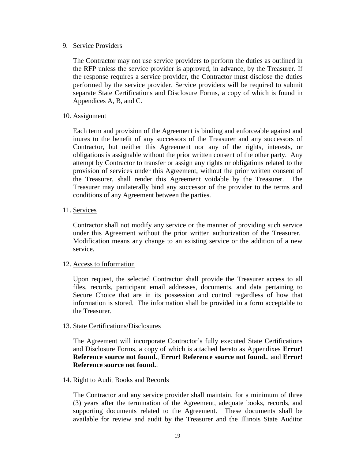#### 9. Service Providers

The Contractor may not use service providers to perform the duties as outlined in the RFP unless the service provider is approved, in advance, by the Treasurer. If the response requires a service provider, the Contractor must disclose the duties performed by the service provider. Service providers will be required to submit separate State Certifications and Disclosure Forms, a copy of which is found in Appendices A, B, and C.

#### 10. Assignment

Each term and provision of the Agreement is binding and enforceable against and inures to the benefit of any successors of the Treasurer and any successors of Contractor, but neither this Agreement nor any of the rights, interests, or obligations is assignable without the prior written consent of the other party. Any attempt by Contractor to transfer or assign any rights or obligations related to the provision of services under this Agreement, without the prior written consent of the Treasurer, shall render this Agreement voidable by the Treasurer. The Treasurer may unilaterally bind any successor of the provider to the terms and conditions of any Agreement between the parties.

#### 11. Services

Contractor shall not modify any service or the manner of providing such service under this Agreement without the prior written authorization of the Treasurer. Modification means any change to an existing service or the addition of a new service.

#### 12. Access to Information

Upon request, the selected Contractor shall provide the Treasurer access to all files, records, participant email addresses, documents, and data pertaining to Secure Choice that are in its possession and control regardless of how that information is stored. The information shall be provided in a form acceptable to the Treasurer.

#### 13. State Certifications/Disclosures

The Agreement will incorporate Contractor's fully executed State Certifications and Disclosure Forms, a copy of which is attached hereto as Appendixes **Error! Reference source not found.**, **Error! Reference source not found.**, and **Error! Reference source not found.**.

#### 14. Right to Audit Books and Records

The Contractor and any service provider shall maintain, for a minimum of three (3) years after the termination of the Agreement, adequate books, records, and supporting documents related to the Agreement. These documents shall be available for review and audit by the Treasurer and the Illinois State Auditor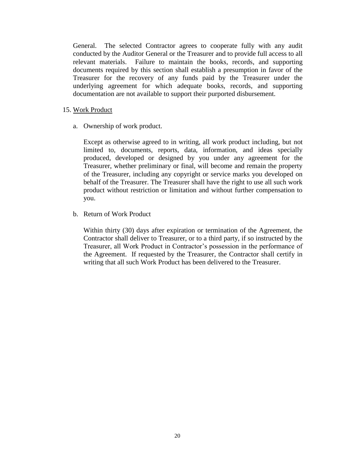General. The selected Contractor agrees to cooperate fully with any audit conducted by the Auditor General or the Treasurer and to provide full access to all relevant materials. Failure to maintain the books, records, and supporting documents required by this section shall establish a presumption in favor of the Treasurer for the recovery of any funds paid by the Treasurer under the underlying agreement for which adequate books, records, and supporting documentation are not available to support their purported disbursement.

- 15. Work Product
	- a. Ownership of work product.

Except as otherwise agreed to in writing, all work product including, but not limited to, documents, reports, data, information, and ideas specially produced, developed or designed by you under any agreement for the Treasurer, whether preliminary or final, will become and remain the property of the Treasurer, including any copyright or service marks you developed on behalf of the Treasurer. The Treasurer shall have the right to use all such work product without restriction or limitation and without further compensation to you.

b. Return of Work Product

Within thirty (30) days after expiration or termination of the Agreement, the Contractor shall deliver to Treasurer, or to a third party, if so instructed by the Treasurer, all Work Product in Contractor's possession in the performance of the Agreement. If requested by the Treasurer, the Contractor shall certify in writing that all such Work Product has been delivered to the Treasurer.